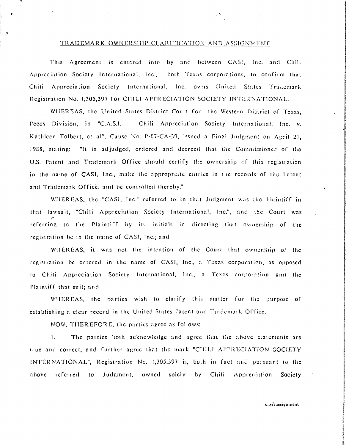## TRADEMARK OWNERSHIP CLARIFICATION AND ASSIGNMENT

This Agreement is entered into by and between CAS!, Inc. and Chili Appreciation Society International, Inc., both Texas corporations, to confirm that Chili Appreciation Society International, Inc. owns United States Trademark Registration No. 1,305,397 for CHILI APPRECIATION SOCIETY INTERNATIONAL.

WHEREAS, the United States District Court for the Western District of Texas. Pecos Division, in "C.A.S.I. -- Chili Appreciation Society International, Inc. v. Kathleen Tolbert, et al", Cause No. P-87-CA-39, issued a Final Judgment on April 21, 1988, stating: "It is adjudged, ordered and decreed that the Commissioner of the U.S. Patent and Trademark Office should certify the ownership of this registration in the name of CASI, Inc., make the appropriate entries in the records of the Patent and Trademark Office, and be controlled thereby."

WHEREAS, the "CASI, Inc." referred to in that Judgment was the Plaintiff in that lawsuit, "Chili Appreciation Society International, Inc.", and the Court was referring to the Plaintiff by its initials in directing that ownership of the registration be in the name of CASI, Inc.; and

WHEREAS, it was not the intention of the Court that ownership of the registration be entered in the name of CASI, Inc., a Texas corporation, as opposed to Chili Appreciation Society International, Inc., a Texas corporation and the Plaintiff that suit; and

WHEREAS, the parties wish to clarify this matter for the purpose of establishing a clear record in the United States Patent and Trademark Office.

NOW, THEREFORE, the parties agree as follows:

The parties both acknowledge and agree that the above statements are  $\mathbf{1}$ . true and correct, and further agree that the mark "CHILI APPRECIATION SOCIETY INTERNATIONAL", Registration No. 1,305,397 is, both in fact and pursuant to the referred to Judgment, owned solely by Chili Appreciation Society above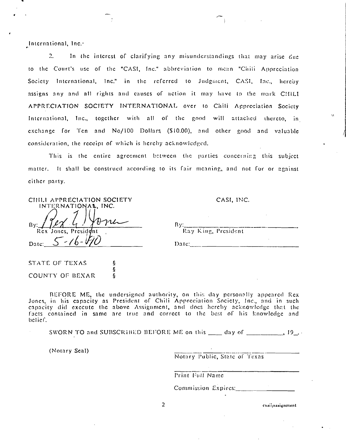International, Inc.<sup>4</sup>

 $2.$ In the interest of clarifying any misunderstandings that may arise due to the Court's use of the "CASI, Inc." abbreviation to mean "Chili Appreciation Society International, Inc." in the referred to Judgment, CASI, Inc., hereby assigns any and all rights and causes of action it may have to the mark CHILI APPRECIATION SOCIETY INTERNATIONAL over to Chili Appreciation Society International, Inc., together with all of the good will attached thereto, in exchange for Ten and No/100 Dollars (\$10.00), and other good and valuable consideration, the receipt of which is hereby acknowledged.

This is the entire agreement between the parties concerning this subject matter. It shall be construed according to its fair meaning, and not for or against cither party.

| CHILI APPRECIATION SOCIETY<br>INTERNATIONAL, INC. | CASI, INC.          |  |
|---------------------------------------------------|---------------------|--|
| rw<br>$\mathbf{B}$ y:                             | Bv:                 |  |
| Rex Jones, President                              | Ray King, President |  |
| Date:                                             | Date:               |  |
|                                                   |                     |  |

Ş ş

ş

BEFORE ME, the undersigned authority, on this day personally appeared Rex Jones, in his capacity as President of Chili Appreciation Society, Inc., and in such capacity did execute the above Assignment, and does hereby acknowledge that the facts contained in same are true and correct to the best of his knowledge and belief.

 $\overline{2}$ 

SWORN TO and SUBSCRIBED BEFORE ME on this \_\_\_ day of \_\_\_\_\_\_\_\_\_\_\_\_\_, 19\_.

(Notary Seal)

STATE OF TEXAS

COUNTY OF BEXAR

Notary Public, State of Texas

Print Full Name

Commission Expires:

casi\assignment